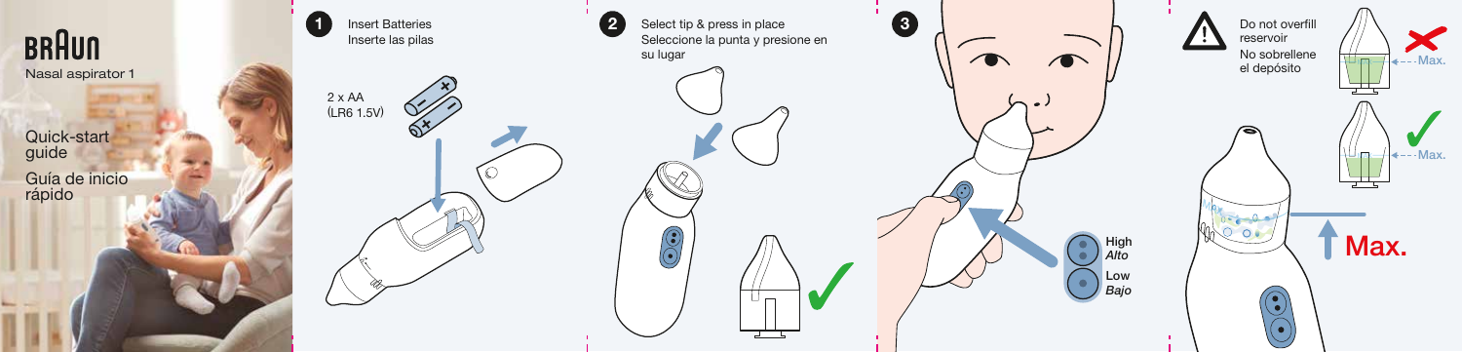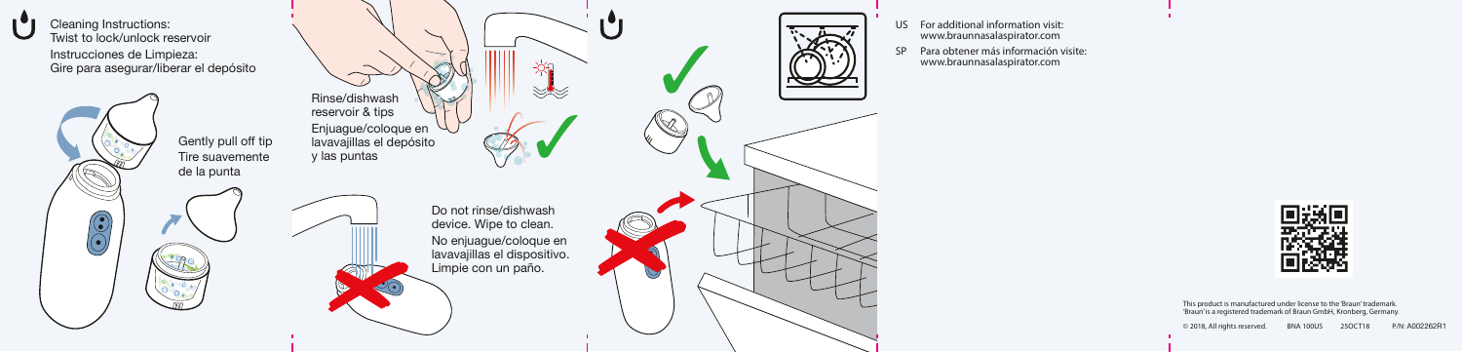

de la punta  $\odot$ 



- US For additional information visit: www.braunnasalaspirator.com
- SP Para obtener más información visite: www.braunnasalaspirator.com



This product is manufactured under license to the 'Braun' trademark. 'Braun' is a registered trademark of Braun GmbH, Kronberg, Germany.

© 2018, All rights reserved. BNA 100US 25OCT18 P/N: A002262R1